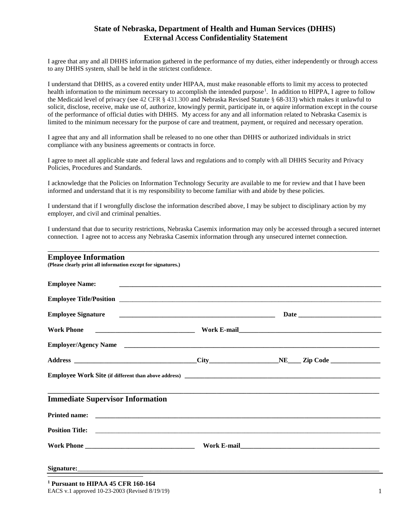## **State of Nebraska, Department of Health and Human Services (DHHS) External Access Confidentiality Statement**

I agree that any and all DHHS information gathered in the performance of my duties, either independently or through access to any DHHS system, shall be held in the strictest confidence.

I understand that DHHS, as a covered entity under HIPAA, must make reasonable efforts to limit my access to protected health information to the minimum necessary to accomplish the intended purpose<sup>[1](#page-0-0)</sup>. In addition to HIPPA, I agree to follow the Medicaid level of privacy (see 42 CFR § 431.300 and Nebraska Revised Statute § 68-313) which makes it unlawful to solicit, disclose, receive, make use of, authorize, knowingly permit, participate in, or aquire information except in the course of the performance of official duties with DHHS. My access for any and all information related to Nebraska Casemix is limited to the minimum necessary for the purpose of care and treatment, payment, or required and necessary operation.

I agree that any and all information shall be released to no one other than DHHS or authorized individuals in strict compliance with any business agreements or contracts in force.

I agree to meet all applicable state and federal laws and regulations and to comply with all DHHS Security and Privacy Policies, Procedures and Standards.

I acknowledge that the Policies on Information Technology Security are available to me for review and that I have been informed and understand that it is my responsibility to become familiar with and abide by these policies.

I understand that if I wrongfully disclose the information described above, I may be subject to disciplinary action by my employer, and civil and criminal penalties.

I understand that due to security restrictions, Nebraska Casemix information may only be accessed through a secured internet connection. I agree not to access any Nebraska Casemix information through any unsecured internet connection.

**\_\_\_\_\_\_\_\_\_\_\_\_\_\_\_\_\_\_\_\_\_\_\_\_\_\_\_\_\_\_\_\_\_\_\_\_\_\_\_\_\_\_\_\_\_\_\_\_\_\_\_\_\_\_\_\_\_\_\_\_\_\_\_\_\_\_\_\_\_\_\_\_\_\_\_\_\_\_\_\_\_\_\_\_\_\_\_\_\_\_\_\_\_\_\_\_\_\_\_\_\_\_\_\_\_\_\_\_\_\_\_\_\_\_\_\_\_\_\_\_\_\_\_\_\_**

## **Employee Information**

**(Please clearly print all information except for signatures.)**

<span id="page-0-0"></span>

| <b>Employee Name:</b>                   |  |  |
|-----------------------------------------|--|--|
|                                         |  |  |
|                                         |  |  |
| <b>Work Phone</b>                       |  |  |
|                                         |  |  |
|                                         |  |  |
|                                         |  |  |
| <b>Immediate Supervisor Information</b> |  |  |
|                                         |  |  |
|                                         |  |  |
|                                         |  |  |
|                                         |  |  |
|                                         |  |  |